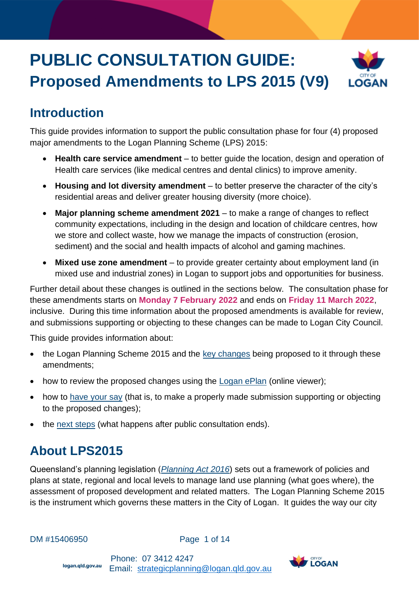# **PUBLIC CONSULTATION GUIDE: Proposed Amendments to LPS 2015 (V9)**



## **Introduction**

This guide provides information to support the public consultation phase for four (4) proposed major amendments to the Logan Planning Scheme (LPS) 2015:

- **Health care service amendment** to better guide the location, design and operation of Health care services (like medical centres and dental clinics) to improve amenity.
- **Housing and lot diversity amendment** to better preserve the character of the city's residential areas and deliver greater housing diversity (more choice).
- **Major planning scheme amendment 2021** to make a range of changes to reflect community expectations, including in the design and location of childcare centres, how we store and collect waste, how we manage the impacts of construction (erosion, sediment) and the social and health impacts of alcohol and gaming machines.
- **Mixed use zone amendment** to provide greater certainty about employment land (in mixed use and industrial zones) in Logan to support jobs and opportunities for business.

Further detail about these changes is outlined in the sections below. The consultation phase for these amendments starts on **Monday 7 February 2022** and ends on **Friday 11 March 2022**, inclusive. During this time information about the proposed amendments is available for review, and submissions supporting or objecting to these changes can be made to Logan City Council.

This guide provides information about:

- the Logan Planning Scheme 2015 and the [key changes](#page-1-0) being proposed to it through these amendments;
- how to review the proposed changes using the [Logan ePlan](https://logan.isoplan.com.au/eplan/) (online viewer);
- how to [have your say](#page-4-0) (that is, to make a properly made submission supporting or objecting to the proposed changes);
- the [next steps](#page-4-1) (what happens after public consultation ends).

## **About LPS2015**

Queensland's planning legislation (*[Planning Act 2016](https://www.legislation.qld.gov.au/view/pdf/inforce/current/act-2016-025)*) sets out a framework of policies and plans at state, regional and local levels to manage land use planning (what goes where), the assessment of proposed development and related matters. The Logan Planning Scheme 2015 is the instrument which governs these matters in the City of Logan. It guides the way our city

DM #15406950 **Page 1 of 14** 

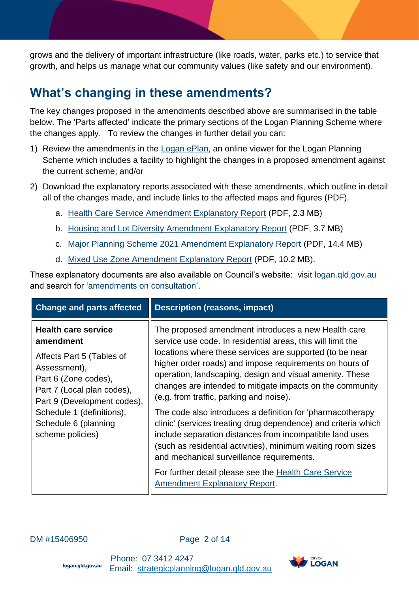grows and the delivery of important infrastructure (like roads, water, parks etc.) to service that growth, and helps us manage what our community values (like safety and our environment).

## <span id="page-1-0"></span>**What's changing in these amendments?**

The key changes proposed in the amendments described above are summarised in the table below. The 'Parts affected' indicate the primary sections of the Logan Planning Scheme where the changes apply. To review the changes in further detail you can:

- 1) Review the amendments in the [Logan ePlan,](https://logan.isoplan.com.au/eplan) an online viewer for the Logan Planning Scheme which includes a facility to highlight the changes in a proposed amendment against the current scheme; and/or
- 2) Download the explanatory reports associated with these amendments, which outline in detail all of the changes made, and include links to the affected maps and figures (PDF).
	- a. [Health Care Service Amendment Explanatory Report](https://lcc-docs-planning.s3.ap-southeast-2.amazonaws.com/root/LPS2015+Amendments/Health+Care+Service/Explanatory+Report+-+Health+Care+Service+Amendment.pdf) (PDF, 2.3 MB)
	- b. [Housing and Lot Diversity Amendment Explanatory Report](https://lcc-docs-planning.s3.ap-southeast-2.amazonaws.com/root/LPS2015+Amendments/Housing+Lot+Diversity/Explanatory+Report+-+Housing+and+Lot+Diversity+Amendment.pdf) (PDF, 3.7 MB)
	- c. [Major Planning Scheme 2021 Amendment Explanatory Report](https://lcc-docs-planning.s3.ap-southeast-2.amazonaws.com/root/LPS2015+Amendments/MPSA+2021/Explanatory+Report+-+Major+PS+Amendment+2021.pdf) (PDF, 14.4 MB)
	- d. [Mixed Use Zone Amendment Explanatory Report](https://lcc-docs-planning.s3.ap-southeast-2.amazonaws.com/root/LPS2015+Amendments/Mixed+Use/Explanatory+Report+-+Mixed+Use+Zone+Amendment.pdf) (PDF, 10.2 MB).

These explanatory documents are also available on Council's website: visit [logan.qld.gov.au](https://www.logan.qld.gov.au/amendments-consultation-1) and search for ['amendments on consultation'.](https://www.logan.qld.gov.au/planning-and-development/amendments-on-consultation)

| <b>Change and parts affected</b>                                                                                                                                                                                                                   | <b>Description (reasons, impact)</b>                                                                                                                                                                                                                                                                                                                                                                                                                                                                                                                                                                                                                                                                                                                                                                                    |
|----------------------------------------------------------------------------------------------------------------------------------------------------------------------------------------------------------------------------------------------------|-------------------------------------------------------------------------------------------------------------------------------------------------------------------------------------------------------------------------------------------------------------------------------------------------------------------------------------------------------------------------------------------------------------------------------------------------------------------------------------------------------------------------------------------------------------------------------------------------------------------------------------------------------------------------------------------------------------------------------------------------------------------------------------------------------------------------|
| <b>Health care service</b><br>amendment<br>Affects Part 5 (Tables of<br>Assessment),<br>Part 6 (Zone codes),<br>Part 7 (Local plan codes),<br>Part 9 (Development codes),<br>Schedule 1 (definitions),<br>Schedule 6 (planning<br>scheme policies) | The proposed amendment introduces a new Health care<br>service use code. In residential areas, this will limit the<br>locations where these services are supported (to be near<br>higher order roads) and impose requirements on hours of<br>operation, landscaping, design and visual amenity. These<br>changes are intended to mitigate impacts on the community<br>(e.g. from traffic, parking and noise).<br>The code also introduces a definition for 'pharmacotherapy<br>clinic' (services treating drug dependence) and criteria which<br>include separation distances from incompatible land uses<br>(such as residential activities), minimum waiting room sizes<br>and mechanical surveillance requirements.<br>For further detail please see the Health Care Service<br><b>Amendment Explanatory Report.</b> |

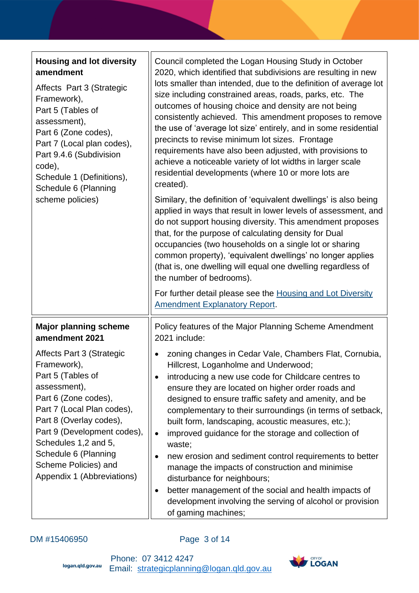| <b>Housing and lot diversity</b><br>amendment<br>Affects Part 3 (Strategic<br>Framework),<br>Part 5 (Tables of<br>assessment),<br>Part 6 (Zone codes),<br>Part 7 (Local plan codes),<br>Part 9.4.6 (Subdivision<br>code),<br>Schedule 1 (Definitions),<br>Schedule 6 (Planning<br>scheme policies)                                                    | Council completed the Logan Housing Study in October<br>2020, which identified that subdivisions are resulting in new<br>lots smaller than intended, due to the definition of average lot<br>size including constrained areas, roads, parks, etc. The<br>outcomes of housing choice and density are not being<br>consistently achieved. This amendment proposes to remove<br>the use of 'average lot size' entirely, and in some residential<br>precincts to revise minimum lot sizes. Frontage<br>requirements have also been adjusted, with provisions to<br>achieve a noticeable variety of lot widths in larger scale<br>residential developments (where 10 or more lots are<br>created).<br>Similary, the definition of 'equivalent dwellings' is also being<br>applied in ways that result in lower levels of assessment, and<br>do not support housing diversity. This amendment proposes<br>that, for the purpose of calculating density for Dual<br>occupancies (two households on a single lot or sharing<br>common property), 'equivalent dwellings' no longer applies<br>(that is, one dwelling will equal one dwelling regardless of<br>the number of bedrooms).<br>For further detail please see the Housing and Lot Diversity<br><b>Amendment Explanatory Report.</b> |
|-------------------------------------------------------------------------------------------------------------------------------------------------------------------------------------------------------------------------------------------------------------------------------------------------------------------------------------------------------|--------------------------------------------------------------------------------------------------------------------------------------------------------------------------------------------------------------------------------------------------------------------------------------------------------------------------------------------------------------------------------------------------------------------------------------------------------------------------------------------------------------------------------------------------------------------------------------------------------------------------------------------------------------------------------------------------------------------------------------------------------------------------------------------------------------------------------------------------------------------------------------------------------------------------------------------------------------------------------------------------------------------------------------------------------------------------------------------------------------------------------------------------------------------------------------------------------------------------------------------------------------------------------------|
| <b>Major planning scheme</b><br>amendment 2021<br>Affects Part 3 (Strategic<br>Framework),<br>Part 5 (Tables of<br>assessment),<br>Part 6 (Zone codes),<br>Part 7 (Local Plan codes),<br>Part 8 (Overlay codes),<br>Part 9 (Development codes),<br>Schedules 1,2 and 5,<br>Schedule 6 (Planning<br>Scheme Policies) and<br>Appendix 1 (Abbreviations) | Policy features of the Major Planning Scheme Amendment<br>2021 include:<br>zoning changes in Cedar Vale, Chambers Flat, Cornubia,<br>Hillcrest, Loganholme and Underwood;<br>introducing a new use code for Childcare centres to<br>ensure they are located on higher order roads and<br>designed to ensure traffic safety and amenity, and be<br>complementary to their surroundings (in terms of setback,<br>built form, landscaping, acoustic measures, etc.);<br>improved guidance for the storage and collection of<br>$\bullet$<br>waste;<br>new erosion and sediment control requirements to better<br>manage the impacts of construction and minimise<br>disturbance for neighbours;<br>better management of the social and health impacts of<br>development involving the serving of alcohol or provision<br>of gaming machines;                                                                                                                                                                                                                                                                                                                                                                                                                                            |

## DM #15406950 Page 3 of 14

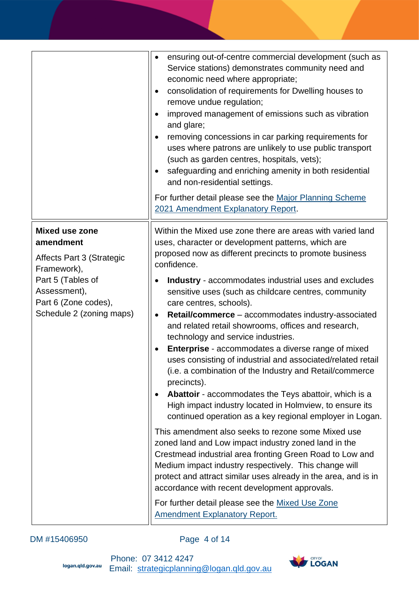|                                                                                                                                          | ensuring out-of-centre commercial development (such as<br>Service stations) demonstrates community need and<br>economic need where appropriate;<br>consolidation of requirements for Dwelling houses to<br>$\bullet$<br>remove undue regulation;<br>improved management of emissions such as vibration<br>and glare;<br>removing concessions in car parking requirements for<br>uses where patrons are unlikely to use public transport<br>(such as garden centres, hospitals, vets);<br>safeguarding and enriching amenity in both residential<br>$\bullet$<br>and non-residential settings.<br>For further detail please see the Major Planning Scheme<br>2021 Amendment Explanatory Report.                                |
|------------------------------------------------------------------------------------------------------------------------------------------|-------------------------------------------------------------------------------------------------------------------------------------------------------------------------------------------------------------------------------------------------------------------------------------------------------------------------------------------------------------------------------------------------------------------------------------------------------------------------------------------------------------------------------------------------------------------------------------------------------------------------------------------------------------------------------------------------------------------------------|
| Mixed use zone<br>amendment                                                                                                              | Within the Mixed use zone there are areas with varied land<br>uses, character or development patterns, which are                                                                                                                                                                                                                                                                                                                                                                                                                                                                                                                                                                                                              |
| <b>Affects Part 3 (Strategic</b><br>Framework),<br>Part 5 (Tables of<br>Assessment),<br>Part 6 (Zone codes),<br>Schedule 2 (zoning maps) | proposed now as different precincts to promote business<br>confidence.<br><b>Industry</b> - accommodates industrial uses and excludes<br>$\bullet$<br>sensitive uses (such as childcare centres, community<br>care centres, schools).<br>Retail/commerce - accommodates industry-associated<br>$\bullet$<br>and related retail showrooms, offices and research,<br>technology and service industries.<br>Enterprise - accommodates a diverse range of mixed<br>٠<br>uses consisting of industrial and associated/related retail<br>(i.e. a combination of the Industry and Retail/commerce<br>precincts).<br>Abattoir - accommodates the Teys abattoir, which is a<br>High impact industry located in Holmview, to ensure its |
|                                                                                                                                          | continued operation as a key regional employer in Logan.<br>This amendment also seeks to rezone some Mixed use<br>zoned land and Low impact industry zoned land in the<br>Crestmead industrial area fronting Green Road to Low and<br>Medium impact industry respectively. This change will<br>protect and attract similar uses already in the area, and is in<br>accordance with recent development approvals.<br>For further detail please see the Mixed Use Zone<br><b>Amendment Explanatory Report.</b>                                                                                                                                                                                                                   |

## DM #15406950 Page 4 of 14

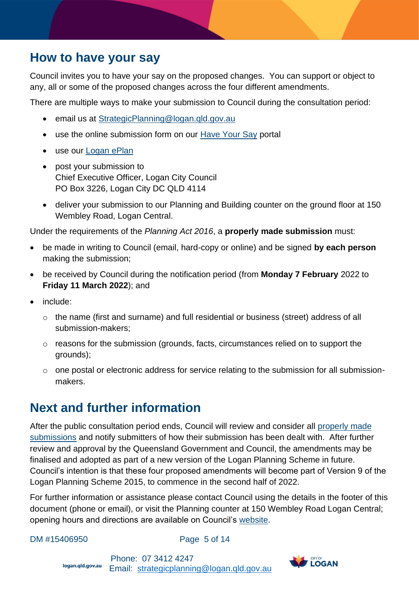## <span id="page-4-0"></span>**How to have your say**

Council invites you to have your say on the proposed changes. You can support or object to any, all or some of the proposed changes across the four different amendments.

There are multiple ways to make your submission to Council during the consultation period:

- email us at [StrategicPlanning@logan.qld.gov.au](mailto:StrategicPlanning@logan.qld.gov.au)
- use the online submission form on our [Have Your Say](file:///C:/Users/lawiec/AppData/Roaming/OpenText/DM/Temp/haveyoursaylogan.com.au/proposed-changes-to-logan-planning-scheme-2015-amendments-for-version-9) portal
- use our **Logan ePlan**
- post your submission to Chief Executive Officer, Logan City Council PO Box 3226, Logan City DC QLD 4114
- <span id="page-4-2"></span>• deliver your submission to our Planning and Building counter on the ground floor at 150 Wembley Road, Logan Central.

Under the requirements of the *Planning Act 2016*, a **properly made submission** must:

- be made in writing to Council (email, hard-copy or online) and be signed **by each person** making the submission;
- be received by Council during the notification period (from **Monday 7 February** 2022 to **Friday 11 March 2022**); and
- include:
	- o the name (first and surname) and full residential or business (street) address of all submission-makers;
	- $\circ$  reasons for the submission (grounds, facts, circumstances relied on to support the grounds);
	- o one postal or electronic address for service relating to the submission for all submissionmakers.

## <span id="page-4-1"></span>**Next and further information**

After the public consultation period ends, Council will review and consider all [properly made](#page-4-2)  [submissions](#page-4-2) and notify submitters of how their submission has been dealt with. After further review and approval by the Queensland Government and Council, the amendments may be finalised and adopted as part of a new version of the Logan Planning Scheme in future. Council's intention is that these four proposed amendments will become part of Version 9 of the Logan Planning Scheme 2015, to commence in the second half of 2022.

For further information or assistance please contact Council using the details in the footer of this document (phone or email), or visit the Planning counter at 150 Wembley Road Logan Central; opening hours and directions are available on Council's [website.](https://www.logan.qld.gov.au/connect-with-us)

DM #15406950 **Page 5 of 14** 

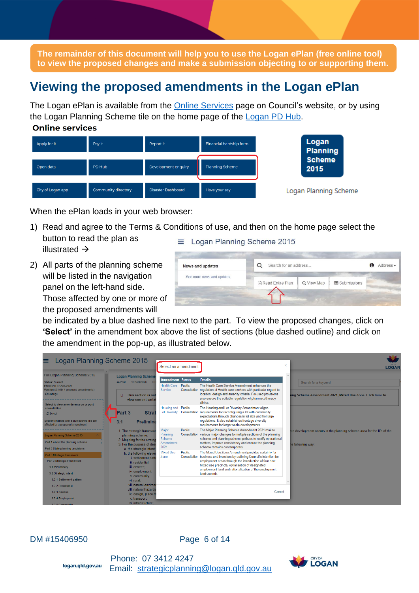**The remainder of this document will help you to use the Logan ePlan (free online tool) to view the proposed changes and make a submission objecting to or supporting them.** 

## **Viewing the proposed amendments in the Logan ePlan**

The Logan ePlan is available from the [Online Services](https://www.logan.qld.gov.au/online-services) page on Council's website, or by using the Logan Planning Scheme tile on the home page of the [Logan PD Hub.](https://loganhub.com.au/dashboard) **Online services** 



When the ePlan loads in your web browser:

- 1) Read and agree to the Terms & Conditions of use, and then on the home page select the button to read the plan as  $\equiv$  Logan Planning Scheme 2015 illustrated →
- 2) All parts of the planning scheme will be listed in the navigation panel on the left-hand side. Those affected by one or more of

the proposed amendments will

| <b>News and updates</b>   | Search for an address |            |             | A | Address - |
|---------------------------|-----------------------|------------|-------------|---|-----------|
| See more news and updates |                       |            |             |   |           |
|                           | Read Entire Plan      | Q View Map | Submissions |   |           |

be indicated by a blue dashed line next to the part. To view the proposed changes, click on **'Select'** in the amendment box above the list of sections (blue dashed outline) and click on the amendment in the pop-up, as illustrated below.

| Logan Planning Scheme 2015                                                                                                                                 |                                                                                                                                       | Select an amendment                                      |               |                                                                                                                                                                                                                                                                                                                       | $\times$ | <b>LOGAN</b>                                                                                |
|------------------------------------------------------------------------------------------------------------------------------------------------------------|---------------------------------------------------------------------------------------------------------------------------------------|----------------------------------------------------------|---------------|-----------------------------------------------------------------------------------------------------------------------------------------------------------------------------------------------------------------------------------------------------------------------------------------------------------------------|----------|---------------------------------------------------------------------------------------------|
| Full Logan Planning Scheme 2015<br><b>Status: Current</b><br>Effective: 07-Feb-2022<br>Version: 8 (with 4 proposed amendments)<br>$C$ Change               | <b>Logan Planning Scheme</b><br>☆ Bookmark Ⅲ<br>$A$ Print<br>This section is sub<br>o<br>view current variat                          | <b>Amendment Status</b><br><b>Health Care</b><br>Service | <b>Public</b> | <b>Details</b><br>The Health Care Service Amendment enhances the<br>Consultation regulation of Health care services with particular regard to<br>location, design and amenity criteria. Focused provisions<br>also ensure the suitable regulation of pharmacotherapy<br>clinics.                                      |          | Search for a keyword<br>ing Scheme Amendment 2021. Mixed Use Zone. Click here to            |
| Select to view amendments on or post<br>consultation<br>$\sigma$ Select<br>Sections marked with a blue dashed line are<br>affected by a proposed amendment | Part 3<br><b>Strat</b><br><b>Prelimina</b><br>3.1                                                                                     | Housing and Public                                       |               | The Housing and Lot Diversity Amendment aligns<br>Lot Diversity Consultation requirements for reconfiguring a lot with community<br>expectations through changes in lot size and frontage<br>requlations. It also establishes frontage diversity<br>requirements for larger scale developments.                       |          |                                                                                             |
| Logan Planning Scheme 2015<br>Part 1 About the planning scheme<br>Part 2 State planning provisions                                                         | 1. The strategic framewor<br>planning scheme.<br>2. Mapping for the strateg<br>3. For the purpose of desi<br>a. the strategic intent; | Major<br>Planning<br>Scheme<br>Amendment<br>2021         | Public        | The Major Planning Scheme Amendment 2021 makes<br>Consultation various major changes to multiple sections of the planning<br>scheme and planning scheme policies to rectify operational<br>matters, improve consistency and ensure the planning<br>scheme remains contemporary.                                       |          | ate development occurs in the planning scheme area for the life of the<br>te following way: |
| Part 3 Strategic framework<br>Part 3 Strategic Framework<br>3.1 Preliminary<br>3.2 Strategic intent                                                        | b. the following elever<br>i. settlement patt<br>ii. residential:<br>iii. centres:<br>iv. employment;<br>v. community:                | <b>Mixed Use</b><br>Zone                                 | Public        | The Mixed Use Zone Amendment provides certainty for<br>Consultation business and investors by outlining Council's intention for<br>employment areas through the introduction of four new<br>Mixed use precincts, optimisation of designated<br>employment land and rationalisation of the employment<br>land use mix. |          |                                                                                             |
| 3.2.1 Settlement pattern<br>3.2.2 Residential<br>3.2.3 Centres<br>3.2.4 Employment<br>3.2.5 Community                                                      | vi. rural:<br>vii. natural environ<br>viii, natural hazards<br>ix. design, place n<br>x. transport;<br>xi. infrastructure:            |                                                          |               | Cancel                                                                                                                                                                                                                                                                                                                |          |                                                                                             |

### DM #15406950 **Page 6 of 14**

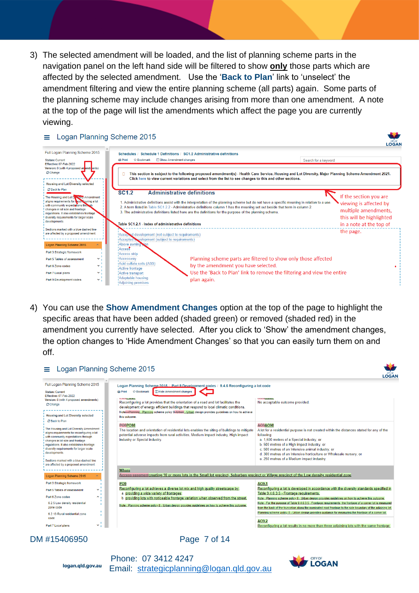3) The selected amendment will be loaded, and the list of planning scheme parts in the navigation panel on the left hand side will be filtered to show **only** those parts which are affected by the selected amendment. Use the '**Back to Plan**' link to 'unselect' the amendment filtering and view the entire planning scheme (all parts) again. Some parts of the planning scheme may include changes arising from more than one amendment. A note at the top of the page will list the amendments which affect the page you are currently viewing.

### $\equiv$  Logan Planning Scheme 2015



4) You can use the **Show Amendment Changes** option at the top of the page to highlight the specific areas that have been added (shaded green) or removed (shaded red) in the amendment you currently have selected. After you click to 'Show' the amendment changes, the option changes to 'Hide Amendment Changes' so that you can easily turn them on and off.



DM #15406950 **Page 7 of 14** 

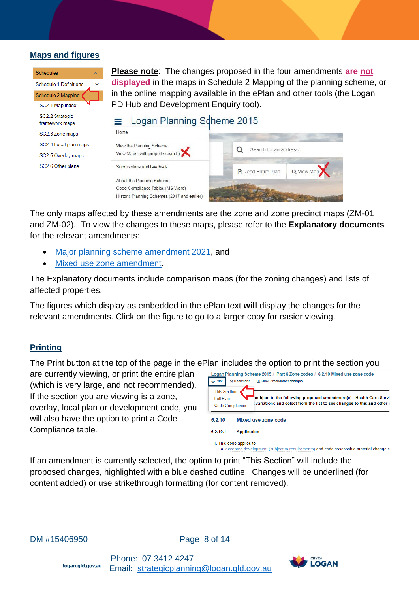### **Maps and figures**

| Schedules                         |
|-----------------------------------|
| <b>Schedule 1 Definitions</b>     |
| Schedule 2 Mapping                |
| SC2.1 Map index                   |
| SC2.2 Strategic<br>framework maps |
| SC2.3 Zone maps                   |
| SC2.4 Local plan maps             |
| SC2.5 Overlay maps                |
| SC2.6 Other plans                 |

**Please note**: The changes proposed in the four amendments **are not displayed** in the maps in Schedule 2 Mapping of the planning scheme, or in the online mapping available in the ePlan and other tools (the Logan PD Hub and Development Enquiry tool).

#### Logan Planning Scheme 2015  $\equiv$



The only maps affected by these amendments are the zone and zone precinct maps (ZM-01 and ZM-02). To view the changes to these maps, please refer to the **Explanatory documents** for the relevant amendments:

- [Major planning scheme amendment 2021,](https://lcc-docs-planning.s3.ap-southeast-2.amazonaws.com/root/LPS2015+Amendments/MPSA+2021/Explanatory+Report+-+Major+PS+Amendment+2021.pdf) and
- [Mixed use zone amendment.](https://lcc-docs-planning.s3.ap-southeast-2.amazonaws.com/root/LPS2015+Amendments/Mixed+Use/Explanatory+Report+-+Mixed+Use+Zone+Amendment.pdf)

The Explanatory documents include comparison maps (for the zoning changes) and lists of affected properties.

The figures which display as embedded in the ePlan text **will** display the changes for the relevant amendments. Click on the figure to go to a larger copy for easier viewing.

### **Printing**

The Print button at the top of the page in the ePlan includes the option to print the section you

are currently viewing, or print the entire plan (which is very large, and not recommended). If the section you are viewing is a zone, overlay, local plan or development code, you will also have the option to print a Code Compliance table.

| $\mathbf{a}$ Print                                  | <b>t2 Bookmark</b>       | Logan Planning Scheme 2015 / Part 6 Zone codes / 6.2.10 Mixed use zone code<br>□ Show Amendment changes                                                 |
|-----------------------------------------------------|--------------------------|---------------------------------------------------------------------------------------------------------------------------------------------------------|
| <b>This Section</b><br>Full Plan<br>Code Compliance |                          | subject to the following proposed amendment(s) - Health Care Servi<br>l variations and select from the list to see changes to this and other $\epsilon$ |
| 6.2.10                                              |                          | Mixed use zone code                                                                                                                                     |
| 6.2.10.1                                            | <b>Application</b>       |                                                                                                                                                         |
|                                                     | 1. This code applies to: | a accepted development (subject to requirements) and code assessable material change o                                                                  |

If an amendment is currently selected, the option to print "This Section" will include the proposed changes, highlighted with a blue dashed outline. Changes will be underlined (for content added) or use strikethrough formatting (for content removed).

DM #15406950 **Page 8 of 14** 

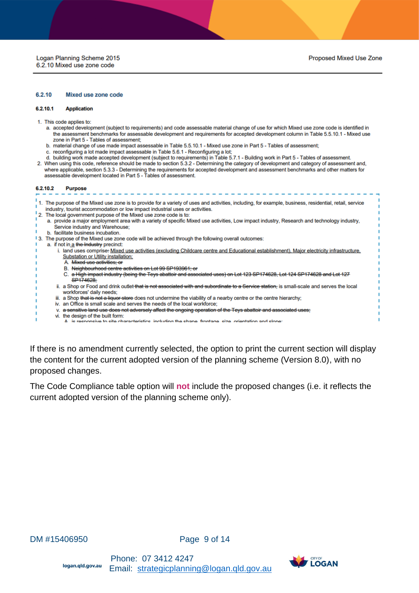#### 6.2.10 **Mixed use zone code**

#### 6.2.10.1 **Application**

- 1. This code applies to:
	- a. accepted development (subject to requirements) and code assessable material change of use for which Mixed use zone code is identified in the assessment benchmarks for assessable development and requirements for accepted development column in Table 5.5.10.1 - Mixed use zone in Part 5 - Tables of assessment;
	- b. material change of use made impact assessable in Table 5.5.10.1 Mixed use zone in Part 5 Tables of assessment;
	- c. reconfiguring a lot made impact assessable in Table 5.6.1 Reconfiguring a lot;
	- d. building work made accepted development (subject to requirements) in Table 5.7.1 Building work in Part 5 Tables of assessment.
- 2. When using this code, reference should be made to section 5.3.2 Determining the category of development and category of assessment and, where applicable, section 5.3.3 - Determining the requirements for accepted development and assessment benchmarks and other matters for assessable development located in Part 5 - Tables of assessment.

#### 6.2.10.2 **Purpose**

×

٠

f,

|       | 1. The purpose of the Mixed use zone is to provide for a variety of uses and activities, including, for example, business, residential, retail, service<br>industry, tourist accommodation or low impact industrial uses or activities. |
|-------|-----------------------------------------------------------------------------------------------------------------------------------------------------------------------------------------------------------------------------------------|
|       | "2. The local government purpose of the Mixed use zone code is to:                                                                                                                                                                      |
|       | a. provide a major employment area with a variety of specific Mixed use activities, Low impact industry, Research and technology industry,                                                                                              |
|       | Service industry and Warehouse:                                                                                                                                                                                                         |
|       | b. facilitate business incubation.                                                                                                                                                                                                      |
| $+3.$ | The purpose of the Mixed use zone code will be achieved through the following overall outcomes:                                                                                                                                         |
|       | a. if not in a the Industry precinct:                                                                                                                                                                                                   |
|       | i. land uses comprise. Mixed use activities (excluding Childcare centre and Educational establishment), Major electricity infrastructure,                                                                                               |
|       | <b>Substation or Utility installation;</b>                                                                                                                                                                                              |
|       | A. <del>Mixed use activities: or</del>                                                                                                                                                                                                  |
|       | B. Neighbourhood centre activities on Lot 99 SP193961; or                                                                                                                                                                               |
|       | C. a High impact industry (being the Teys abattoir and associated uses) on Lot 123 SP174628, Lot 124 SP174628 and Lot 127                                                                                                               |
|       | SP174628:                                                                                                                                                                                                                               |
|       | ii. a Shop or Food and drink outlet that is not associated with and subordinate to a Service station, is small-scale and serves the local<br>workforcee' daily neede:                                                                   |

iii. a Shop that is not a liquor store does not undermine the viability of a nearby centre or the centre hierarchy;

- iv. an Office is small scale and serves the needs of the local workforce;
- v. a sensitive land use does not adversely affect the ongoing operation of the Teys abattoir and associated uses;
- vi. the design of the built form:
- retaristice including the shane frontege size orientation and slope  $\Delta$  ie n noncive to site chard

If there is no amendment currently selected, the option to print the current section will display the content for the current adopted version of the planning scheme (Version 8.0), with no proposed changes.

The Code Compliance table option will **not** include the proposed changes (i.e. it reflects the current adopted version of the planning scheme only).

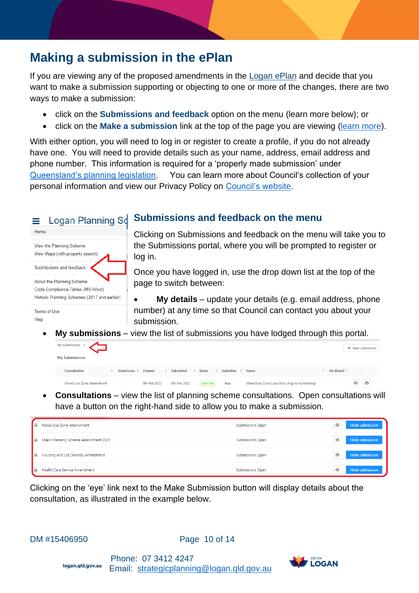## **Making a submission in the ePlan**

If you are viewing any of the proposed amendments in the [Logan ePlan](https://logan.isoplan.com.au/eplan/) and decide that you want to make a submission supporting or objecting to one or more of the changes, there are two ways to make a submission:

- click on the **Submissions and feedback** option on the menu (learn more below); or
- click on the **Make a submission** link at the top of the page you are viewing [\(learn more\)](#page-12-0).

With either option, you will need to log in or register to create a profile, if you do not already have one. You will need to provide details such as your name, address, email address and phone number. This information is required for a 'properly made submission' under [Queensland's planning legislation.](https://www.legislation.qld.gov.au/view/pdf/inforce/current/act-2016-025) You can learn more about Council's collection of your personal information and view our Privacy Policy on [Council's website.](https://www.logan.qld.gov.au/information-and-privacy/privacy)

### Logan Planning Sd = Home View the Planning Scheme View Maps (with property search) Submissions and feedback About the Planning Scheme Code Compliance Tables (MS Word) Historic Planning Schemes (2017 and earlier) Terms of Use Help

## **Submissions and feedback on the menu**

Clicking on Submissions and feedback on the menu will take you to the Submissions portal, where you will be prompted to register or log in.

Once you have logged in, use the drop down list at the top of the page to switch between:

• **My details** – update your details (e.g. email address, phone number) at any time so that Council can contact you about your submission.

• **My submissions** – view the list of submissions you have lodged through this portal.

| My submissions $\vee$    |                      |              |              |               |                        |                                              |                     | + New submission              |
|--------------------------|----------------------|--------------|--------------|---------------|------------------------|----------------------------------------------|---------------------|-------------------------------|
| <b>My Submissions</b>    |                      |              |              |               |                        |                                              |                     |                               |
| Consultation             | Submission $\hat{z}$ | Created      | Submitted    | <b>Status</b> | Submitter<br>$\hat{=}$ | Name                                         | On Behalf $\hat{=}$ |                               |
| Mixed Use Zone Amendment |                      | 6th Feb 2022 | 6th Feb 2022 | Submitted     | You                    | Mixed Use Zone Code Error (Figure Numbering) |                     | $\ddot{\theta}$<br>$^{\circ}$ |

• **Consultations** – view the list of planning scheme consultations. Open consultations will have a button on the right-hand side to allow you to make a submission.

| Mixed Use Zone Amendment                   | <b>Submissions Open</b> | Make submission<br>$\circ$    |
|--------------------------------------------|-------------------------|-------------------------------|
| Major Planning Scheme Amendment 2021<br>∎≞ | <b>Submissions Open</b> | Make submission<br>Ó          |
| Housing And Lot Diversity Amendment        | <b>Submissions Open</b> | $^{\circ}$<br>Make submission |
| <b>Health Care Service Amendment</b><br>∎≞ | <b>Submissions Open</b> | Make submission<br>$\circ$    |

Clicking on the 'eye' link next to the Make Submission button will display details about the consultation, as illustrated in the example below.

```
DM #15406950 Page 10 of 14
```
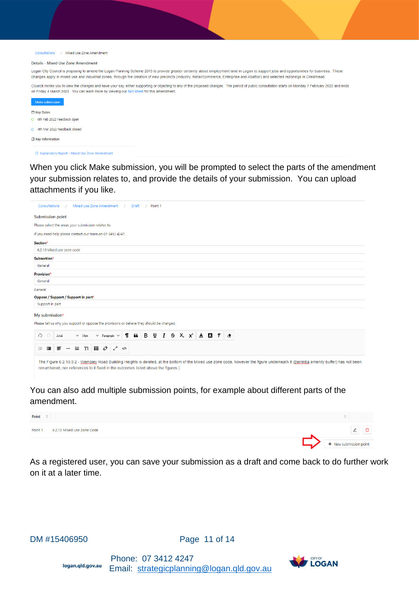

#### Details - Mixed Use Zone Amendment

Logan City Council is proposing to amend the Logan Planning Scheme 2015 to provide greater certainty about employment land in Logan to support jobs and opportunities for business. These changes apply in mixed use and industrial zones, through the creation of new precincts (Industry, Retail/commerce, Enterprise and Abattoir) and selected rezonings in Crestmead.

Council invites you to view the changes and have your say either supporting or objecting to any of the proposed changes. The period of public consultation starts on Monday 7 February 2022 and ends on Friday 4 March 2022. You can learn more by viewing our fact sheet for this amendment.



E Explanatory Report - Mixed Use Zone Amendment

When you click Make submission, you will be prompted to select the parts of the amendment your submission relates to, and provide the details of your submission. You can upload attachments if you like.

|                                                                                            | Consultations | Mixed Use Zone Amendment |  |                         |   | Draft | Point 1                             |  |  |            |  |
|--------------------------------------------------------------------------------------------|---------------|--------------------------|--|-------------------------|---|-------|-------------------------------------|--|--|------------|--|
| <b>Submission point</b>                                                                    |               |                          |  |                         |   |       |                                     |  |  |            |  |
| Please select the areas your submission relates to.                                        |               |                          |  |                         |   |       |                                     |  |  |            |  |
| If you need help please contact our team on 07 3412 4247.                                  |               |                          |  |                         |   |       |                                     |  |  |            |  |
| Section*                                                                                   |               |                          |  |                         |   |       |                                     |  |  |            |  |
| 6.2.10 Mixed use zone code                                                                 |               |                          |  |                         |   |       |                                     |  |  |            |  |
| Subsection*                                                                                |               |                          |  |                         |   |       |                                     |  |  |            |  |
| General                                                                                    |               |                          |  |                         |   |       |                                     |  |  |            |  |
| Provision*                                                                                 |               |                          |  |                         |   |       |                                     |  |  |            |  |
| General                                                                                    |               |                          |  |                         |   |       |                                     |  |  |            |  |
| General                                                                                    |               |                          |  |                         |   |       |                                     |  |  |            |  |
| Oppose / Support / Support in part*                                                        |               |                          |  |                         |   |       |                                     |  |  |            |  |
| Support in part                                                                            |               |                          |  |                         |   |       |                                     |  |  |            |  |
| My submission*                                                                             |               |                          |  |                         |   |       |                                     |  |  |            |  |
| Please tell us why you support or oppose the provisions or believe they should be changed. |               |                          |  |                         |   |       |                                     |  |  |            |  |
|                                                                                            |               | $\times$ 16px            |  | $\vee$ Paragraph $\vee$ | Π |       | 66 B U $I$ $\oplus$ $X_{2}$ $X_{3}$ |  |  | $A \cap T$ |  |
| ∩<br>$\Omega$                                                                              | Arial         |                          |  |                         |   |       |                                     |  |  |            |  |

You can also add multiple submission points, for example about different parts of the amendment.

| Point $\hat{z}$ |                            |                        |
|-----------------|----------------------------|------------------------|
| Point 1         | 6.2.10 Mixed Use Zone Code |                        |
|                 |                            | + New submission point |

As a registered user, you can save your submission as a draft and come back to do further work on it at a later time.

DM #15406950 Page 11 of 14



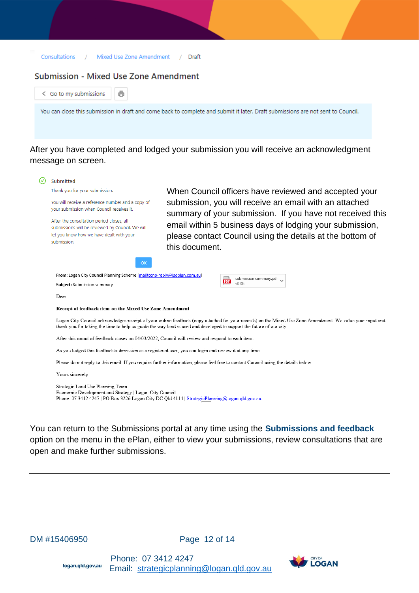| Consultations | Mixed Use Zone Amendment | Draft |
|---------------|--------------------------|-------|
|---------------|--------------------------|-------|

### **Submission - Mixed Use Zone Amendment**

| < Go to my submissions                                                                                                                                                                       |                |                                                                                                                                                           |
|----------------------------------------------------------------------------------------------------------------------------------------------------------------------------------------------|----------------|-----------------------------------------------------------------------------------------------------------------------------------------------------------|
|                                                                                                                                                                                              |                | You can close this submission in draft and come back to complete and submit it later. Draft submissions are not sent to Council.                          |
|                                                                                                                                                                                              |                |                                                                                                                                                           |
|                                                                                                                                                                                              |                |                                                                                                                                                           |
|                                                                                                                                                                                              |                | After you have completed and lodged your submission you will receive an acknowledgment                                                                    |
| message on screen.                                                                                                                                                                           |                |                                                                                                                                                           |
| <b>Submitted</b>                                                                                                                                                                             |                |                                                                                                                                                           |
| Thank you for your submission.                                                                                                                                                               |                | When Council officers have reviewed and accepted your                                                                                                     |
| You will receive a reference number and a copy of<br>your submission when Council receives it.                                                                                               |                | submission, you will receive an email with an attached<br>summary of your submission. If you have not received this                                       |
| After the consultation period closes, all<br>submissions will be reviewed by Council. We will                                                                                                |                | email within 5 business days of lodging your submission,                                                                                                  |
| let you know how we have dealt with your<br>submission.                                                                                                                                      | this document. | please contact Council using the details at the bottom of                                                                                                 |
|                                                                                                                                                                                              |                |                                                                                                                                                           |
| OK                                                                                                                                                                                           |                |                                                                                                                                                           |
| From: Logan City Council Planning Scheme [mailto:no-reply@isoplan.com.au]<br>Subject: Submission summary                                                                                     |                | submission summary.pdf<br>PDF<br>60 KB                                                                                                                    |
| Dear                                                                                                                                                                                         |                |                                                                                                                                                           |
| Receipt of feedback item on the Mixed Use Zone Amendment                                                                                                                                     |                |                                                                                                                                                           |
| thank you for taking the time to help us guide the way land is used and developed to support the future of our city.                                                                         |                | Logan City Council acknowledges receipt of your online feedback (copy attached for your records) on the Mixed Use Zone Amendment. We value your input and |
| After this round of feedback closes on 04/03/2022, Council will review and respond to each item.                                                                                             |                |                                                                                                                                                           |
| As you lodged this feedback/submission as a registered user, you can login and review it at any time.                                                                                        |                |                                                                                                                                                           |
| Please do not reply to this email. If you require further information, please feel free to contact Council using the details below.                                                          |                |                                                                                                                                                           |
| Yours sincerely                                                                                                                                                                              |                |                                                                                                                                                           |
| Strategic Land Use Planning Team<br>Economic Development and Strategy   Logan City Council<br>Phone: 07 3412 4247   PO Box 3226 Logan City DC Qld 4114   Strategic Planning@logan.qld.gov.au |                |                                                                                                                                                           |

You can return to the Submissions portal at any time using the **Submissions and feedback** option on the menu in the ePlan, either to view your submissions, review consultations that are open and make further submissions.

DM #15406950 Page 12 of 14

Phone: 07 3412 4247<br> **Iogan.qld.gov.au** Empil: stratogicplannin Email: [strategicplanning@logan.qld.gov.au](mailto:strategicplanning@logan.qld.gov.au) 

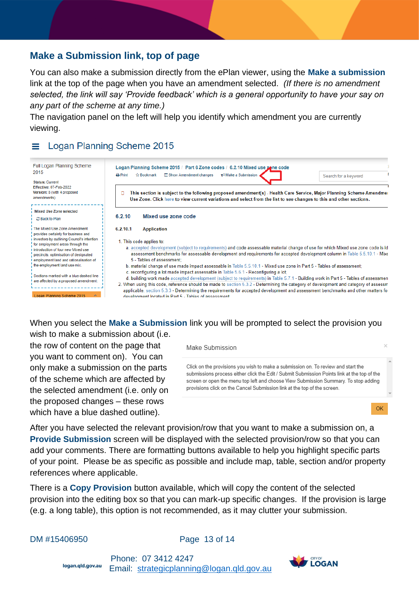## <span id="page-12-0"></span>**Make a Submission link, top of page**

You can also make a submission directly from the ePlan viewer, using the **Make a submission** link at the top of the page when you have an amendment selected. *(If there is no amendment selected, the link will say 'Provide feedback' which is a general opportunity to have your say on any part of the scheme at any time.)*

The navigation panel on the left will help you identify which amendment you are currently viewing.

## Logan Planning Scheme 2015

| Full Logan Planning Scheme<br>2015<br><b>Status: Current</b><br>Effective: 07-Feb-2022<br>Version: 8 (with 4 proposed<br>amendments)                                                                                                                                                                                                                                                                                             | Logan Planning Scheme 2015 / Part 6 Zone codes / 6.2.10 Mixed use zone code<br>₹ Make a Submission<br><b>T</b> Show Amendment changes<br>$\rightarrow$ Print<br><b>Ω Bookmark</b><br>Search for a keyword<br>This section is subject to the following proposed amendment(s) - Health Care Service, Major Planning Scheme Amendmer<br>Use Zone. Click here to view current variations and select from the list to see changes to this and other sections.                                                                                                                                                                                                                                                                                                                                                                                                                                                                                                                                                                                              |
|----------------------------------------------------------------------------------------------------------------------------------------------------------------------------------------------------------------------------------------------------------------------------------------------------------------------------------------------------------------------------------------------------------------------------------|-------------------------------------------------------------------------------------------------------------------------------------------------------------------------------------------------------------------------------------------------------------------------------------------------------------------------------------------------------------------------------------------------------------------------------------------------------------------------------------------------------------------------------------------------------------------------------------------------------------------------------------------------------------------------------------------------------------------------------------------------------------------------------------------------------------------------------------------------------------------------------------------------------------------------------------------------------------------------------------------------------------------------------------------------------|
| Mixed Use Zone selected<br>○ Back to Plan                                                                                                                                                                                                                                                                                                                                                                                        | 6.2.10<br>Mixed use zone code                                                                                                                                                                                                                                                                                                                                                                                                                                                                                                                                                                                                                                                                                                                                                                                                                                                                                                                                                                                                                         |
| The Mixed Use Zone Amendment<br>provides certainty for business and<br>investors by outlining Council's intention<br>for employment areas through the<br>introduction of four new Mixed use<br>precincts, optimisation of designated<br>employment land and rationalisation of<br>the employment land use mix.<br>Sections marked with a blue dashed line<br>are affected by a proposed amendment:<br>Logan Planning Scheme 2015 | 6.2.10.1<br><b>Application</b><br>1. This code applies to:<br>a. accepted development (subject to requirements) and code assessable material change of use for which Mixed use zone code is id<br>assessment benchmarks for assessable development and requirements for accepted development column in Table 5.5.10.1 - Mixe<br>5 - Tables of assessment:<br>b. material change of use made impact assessable in Table 5.5.10.1 - Mixed use zone in Part 5 - Tables of assessment;<br>c. reconfiguring a lot made impact assessable in Table 5.6.1 - Reconfiguring a lot:<br>d. building work made accepted development (subject to requirements) in Table 5.7.1 - Building work in Part 5 - Tables of assessmen<br>2. When using this code, reference should be made to section 5.3.2 - Determining the category of development and category of assessm<br>applicable, section 5.3.3 - Determining the requirements for accepted development and assessment benchmarks and other matters for<br>development located in Part 5 - Tables of assessment |

## When you select the **Make a Submission** link you will be prompted to select the provision you

wish to make a submission about (i.e.

the row of content on the page that you want to comment on). You can only make a submission on the parts of the scheme which are affected by the selected amendment (i.e. only on the proposed changes – these rows which have a blue dashed outline).

Make Submission

Click on the provisions you wish to make a submission on. To review and start the submissions process either click the Edit / Submit Submission Points link at the top of the screen or open the menu top left and choose View Submission Summary. To stop adding provisions click on the Cancel Submission link at the top of the screen.

OK

After you have selected the relevant provision/row that you want to make a submission on, a **Provide Submission** screen will be displayed with the selected provision/row so that you can add your comments. There are formatting buttons available to help you highlight specific parts of your point. Please be as specific as possible and include map, table, section and/or property references where applicable.

There is a **Copy Provision** button available, which will copy the content of the selected provision into the editing box so that you can mark-up specific changes. If the provision is large (e.g. a long table), this option is not recommended, as it may clutter your submission.

DM #15406950 **Page 13 of 14**